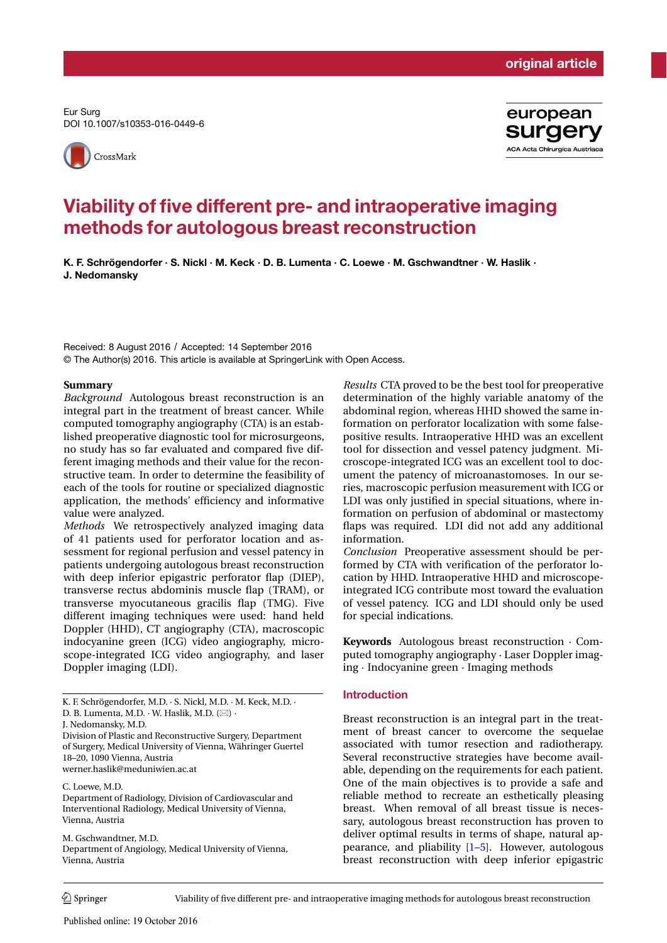Eur Surg DOI 10.1007/s10353-016-0449-6





# Viability of five different pre- and intraoperative imaging methods for autologous breast reconstruction

K. F. Schrögendorfer · S. Nickl · M. Keck · D. B. Lumenta · C. Loewe · M. Gschwandtner · W. Haslik · J. Nedomansky

Received: 8 August 2016 / Accepted: 14 September 2016 © The Author(s) 2016. This article is available at SpringerLink with Open Access.

#### **Summary**

*Background* Autologous breast reconstruction is an integral part in the treatment of breast cancer. While computed tomography angiography (CTA) is an established preoperative diagnostic tool for microsurgeons, no study has so far evaluated and compared five different imaging methods and their value for the reconstructive team. In order to determine the feasibility of each of the tools for routine or specialized diagnostic application, the methods' efficiency and informative value were analyzed.

*Methods* We retrospectively analyzed imaging data of 41 patients used for perforator location and assessment for regional perfusion and vessel patency in patients undergoing autologous breast reconstruction with deep inferior epigastric perforator flap (DIEP), transverse rectus abdominis muscle flap (TRAM), or transverse myocutaneous gracilis flap (TMG). Five different imaging techniques were used: hand held Doppler (HHD), CT angiography (CTA), macroscopic indocyanine green (ICG) video angiography, microscope-integrated ICG video angiography, and laser Doppler imaging (LDI).

K. F. Schrögendorfer, M.D. · S. Nickl, M.D. · M. Keck, M.D. ·

J. Nedomansky, M.D.

Division of Plastic and Reconstructive Surgery, Department of Surgery, Medical University of Vienna, Währinger Guertel 18–20, 1090 Vienna, Austria werner.haslik@meduniwien.ac.at

C. Loewe, M.D.

Department of Radiology, Division of Cardiovascular and Interventional Radiology, Medical University of Vienna, Vienna, Austria

M. Gschwandtner, M.D. Department of Angiology, Medical University of Vienna, Vienna, Austria

*Results* CTA proved to be the best tool for preoperative determination of the highly variable anatomy of the abdominal region, whereas HHD showed the same information on perforator localization with some falsepositive results. Intraoperative HHD was an excellent tool for dissection and vessel patency judgment. Microscope-integrated ICG was an excellent tool to document the patency of microanastomoses. In our series, macroscopic perfusion measurement with ICG or LDI was only justified in special situations, where information on perfusion of abdominal or mastectomy flaps was required. LDI did not add any additional information.

*Conclusion* Preoperative assessment should be performed by CTA with verification of the perforator location by HHD. Intraoperative HHD and microscopeintegrated ICG contribute most toward the evaluation of vessel patency. ICG and LDI should only be used for special indications.

**Keywords** Autologous breast reconstruction · Computed tomography angiography · Laser Doppler imaging · Indocyanine green · Imaging methods

#### Introduction

Breast reconstruction is an integral part in the treatment of breast cancer to overcome the sequelae associated with tumor resection and radiotherapy. Several reconstructive strategies have become available, depending on the requirements for each patient. One of the main objectives is to provide a safe and reliable method to recreate an esthetically pleasing breast. When removal of all breast tissue is necessary, autologous breast reconstruction has proven to deliver optimal results in terms of shape, natural appearance, and pliability [1–5]. However, autologous breast reconstruction with deep inferior epigastric

 $\mathcal{D}$  Springer Viability of five different pre- and intraoperative imaging methods for autologous breast reconstruction

D. B. Lumenta, M.D.  $\cdot$  W. Haslik, M.D.  $(\boxtimes)$ .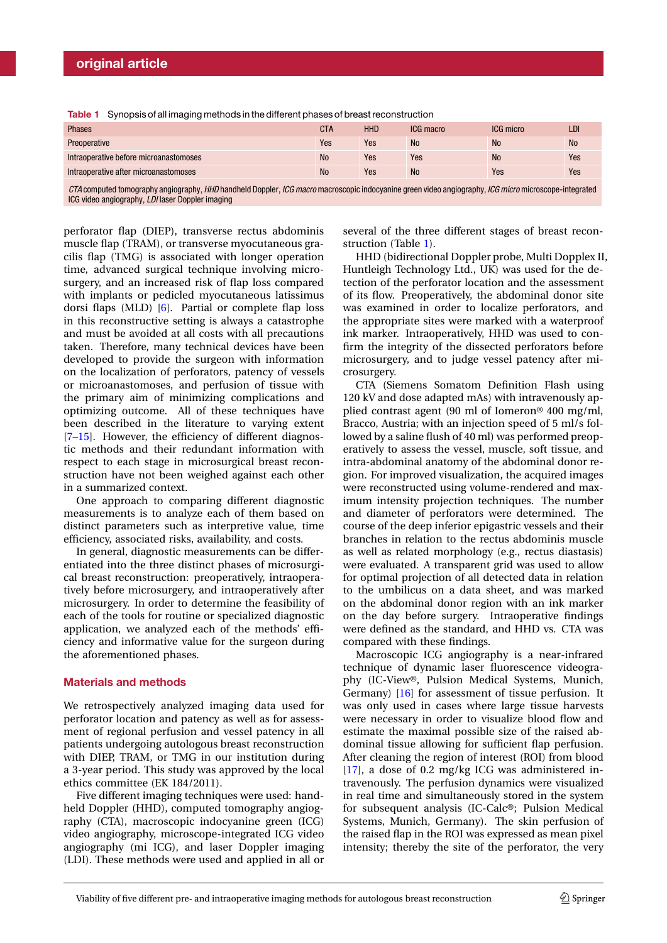|  |  |  | <b>Table 1</b> Synopsis of all imaging methods in the different phases of breast reconstruction |
|--|--|--|-------------------------------------------------------------------------------------------------|
|--|--|--|-------------------------------------------------------------------------------------------------|

| <b>Phases</b>                          | CTA       | <b>HHD</b> | ICG macro | ICG micro | LDI       |
|----------------------------------------|-----------|------------|-----------|-----------|-----------|
| Preoperative                           | Yes       | Yes        | <b>No</b> | <b>No</b> | <b>No</b> |
| Intraoperative before microanastomoses | <b>No</b> | Yes        | Yes       | <b>No</b> | Yes       |
| Intraoperative after microanastomoses  | <b>No</b> | Yes        | <b>No</b> | Yes       | Yes       |

*CTA* computed tomography angiography, *HHD* handheld Doppler, *ICG macro* macroscopic indocyanine green video angiography, *ICG micro* microscope-integrated ICG video angiography, *LDI* laser Doppler imaging

perforator flap (DIEP), transverse rectus abdominis muscle flap (TRAM), or transverse myocutaneous gracilis flap (TMG) is associated with longer operation time, advanced surgical technique involving microsurgery, and an increased risk of flap loss compared with implants or pedicled myocutaneous latissimus dorsi flaps (MLD) [6]. Partial or complete flap loss in this reconstructive setting is always a catastrophe and must be avoided at all costs with all precautions taken. Therefore, many technical devices have been developed to provide the surgeon with information on the localization of perforators, patency of vessels or microanastomoses, and perfusion of tissue with the primary aim of minimizing complications and optimizing outcome. All of these techniques have been described in the literature to varying extent [7–15]. However, the efficiency of different diagnostic methods and their redundant information with respect to each stage in microsurgical breast reconstruction have not been weighed against each other in a summarized context.

One approach to comparing different diagnostic measurements is to analyze each of them based on distinct parameters such as interpretive value, time efficiency, associated risks, availability, and costs.

In general, diagnostic measurements can be differentiated into the three distinct phases of microsurgical breast reconstruction: preoperatively, intraoperatively before microsurgery, and intraoperatively after microsurgery. In order to determine the feasibility of each of the tools for routine or specialized diagnostic application, we analyzed each of the methods' efficiency and informative value for the surgeon during the aforementioned phases.

#### Materials and methods

We retrospectively analyzed imaging data used for perforator location and patency as well as for assessment of regional perfusion and vessel patency in all patients undergoing autologous breast reconstruction with DIEP, TRAM, or TMG in our institution during a 3-year period. This study was approved by the local ethics committee (EK 184/2011).

Five different imaging techniques were used: handheld Doppler (HHD), computed tomography angiography (CTA), macroscopic indocyanine green (ICG) video angiography, microscope-integrated ICG video angiography (mi ICG), and laser Doppler imaging (LDI). These methods were used and applied in all or several of the three different stages of breast reconstruction (Table 1).

HHD (bidirectional Doppler probe, Multi Dopplex II, Huntleigh Technology Ltd., UK) was used for the detection of the perforator location and the assessment of its flow. Preoperatively, the abdominal donor site was examined in order to localize perforators, and the appropriate sites were marked with a waterproof ink marker. Intraoperatively, HHD was used to confirm the integrity of the dissected perforators before microsurgery, and to judge vessel patency after microsurgery.

CTA (Siemens Somatom Definition Flash using 120 kV and dose adapted mAs) with intravenously applied contrast agent (90 ml of Iomeron® 400 mg/ml, Bracco, Austria; with an injection speed of 5 ml/s followed by a saline flush of 40 ml) was performed preoperatively to assess the vessel, muscle, soft tissue, and intra-abdominal anatomy of the abdominal donor region. For improved visualization, the acquired images were reconstructed using volume-rendered and maximum intensity projection techniques. The number and diameter of perforators were determined. The course of the deep inferior epigastric vessels and their branches in relation to the rectus abdominis muscle as well as related morphology (e.g., rectus diastasis) were evaluated. A transparent grid was used to allow for optimal projection of all detected data in relation to the umbilicus on a data sheet, and was marked on the abdominal donor region with an ink marker on the day before surgery. Intraoperative findings were defined as the standard, and HHD vs. CTA was compared with these findings.

Macroscopic ICG angiography is a near-infrared technique of dynamic laser fluorescence videography (IC-View®, Pulsion Medical Systems, Munich, Germany) [16] for assessment of tissue perfusion. It was only used in cases where large tissue harvests were necessary in order to visualize blood flow and estimate the maximal possible size of the raised abdominal tissue allowing for sufficient flap perfusion. After cleaning the region of interest (ROI) from blood [17], a dose of 0.2 mg/kg ICG was administered intravenously. The perfusion dynamics were visualized in real time and simultaneously stored in the system for subsequent analysis (IC-Calc®; Pulsion Medical Systems, Munich, Germany). The skin perfusion of the raised flap in the ROI was expressed as mean pixel intensity; thereby the site of the perforator, the very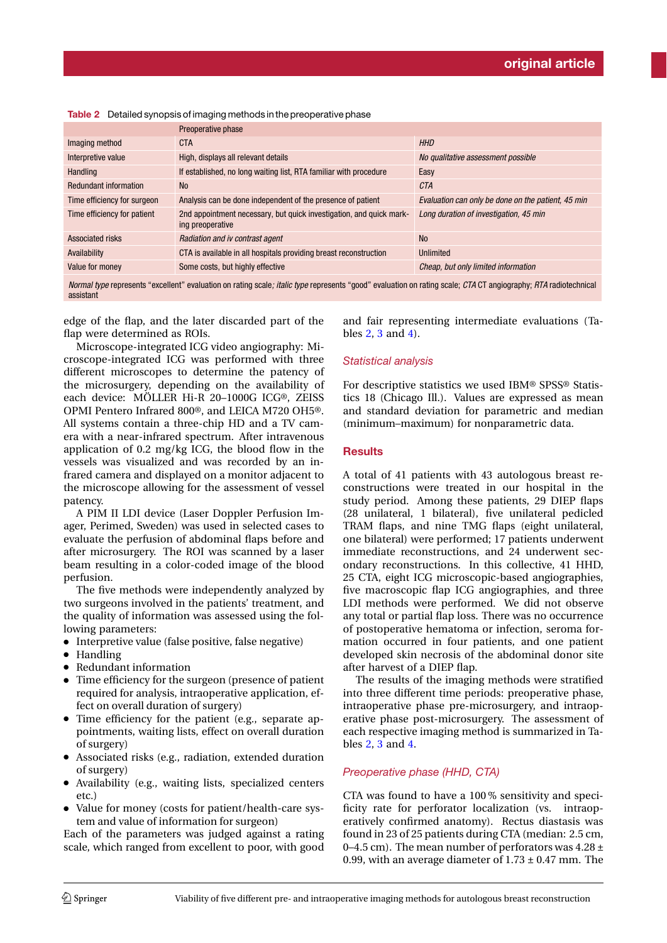| Preoperative phase                                                                      |                                                    |
|-----------------------------------------------------------------------------------------|----------------------------------------------------|
| <b>CTA</b>                                                                              | <b>HHD</b>                                         |
| High, displays all relevant details                                                     | No qualitative assessment possible                 |
| If established, no long waiting list, RTA familiar with procedure                       | Easy                                               |
| <b>No</b>                                                                               | <b>CTA</b>                                         |
| Analysis can be done independent of the presence of patient                             | Evaluation can only be done on the patient, 45 min |
| 2nd appointment necessary, but quick investigation, and quick mark-<br>ing preoperative | Long duration of investigation, 45 min             |
| Radiation and iv contrast agent                                                         | <b>No</b>                                          |
| CTA is available in all hospitals providing breast reconstruction                       | Unlimited                                          |
| Some costs, but highly effective                                                        | Cheap, but only limited information                |
|                                                                                         |                                                    |

Table 2 Detailed synopsis of imaging methods in the preoperative phase

*Normal type* represents "excellent" evaluation on rating scale*; italic type* represents "good" evaluation on rating scale; *CTA* CT angiography; *RTA* radiotechnical assistant

edge of the flap, and the later discarded part of the flap were determined as ROIs.

Microscope-integrated ICG video angiography: Microscope-integrated ICG was performed with three different microscopes to determine the patency of the microsurgery, depending on the availability of each device: MÖLLER Hi-R 20–1000G ICG®, ZEISS OPMI Pentero Infrared 800®, and LEICA M720 OH5®. All systems contain a three-chip HD and a TV camera with a near-infrared spectrum. After intravenous application of 0.2 mg/kg ICG, the blood flow in the vessels was visualized and was recorded by an infrared camera and displayed on a monitor adjacent to the microscope allowing for the assessment of vessel patency.

A PIM II LDI device (Laser Doppler Perfusion Imager, Perimed, Sweden) was used in selected cases to evaluate the perfusion of abdominal flaps before and after microsurgery. The ROI was scanned by a laser beam resulting in a color-coded image of the blood perfusion.

The five methods were independently analyzed by two surgeons involved in the patients' treatment, and the quality of information was assessed using the following parameters:

- Interpretive value (false positive, false negative)
- Handling
- Redundant information
- Time efficiency for the surgeon (presence of patient required for analysis, intraoperative application, effect on overall duration of surgery)
- Time efficiency for the patient (e.g., separate appointments, waiting lists, effect on overall duration of surgery)
- Associated risks (e.g., radiation, extended duration of surgery)
- Availability (e.g., waiting lists, specialized centers etc.)
- Value for money (costs for patient/health-care system and value of information for surgeon)

Each of the parameters was judged against a rating scale, which ranged from excellent to poor, with good

and fair representing intermediate evaluations (Tables 2, 3 and 4).

### *Statistical analysis*

For descriptive statistics we used IBM® SPSS® Statistics 18 (Chicago Ill.). Values are expressed as mean and standard deviation for parametric and median (minimum–maximum) for nonparametric data.

#### **Results**

A total of 41 patients with 43 autologous breast reconstructions were treated in our hospital in the study period. Among these patients, 29 DIEP flaps (28 unilateral, 1 bilateral), five unilateral pedicled TRAM flaps, and nine TMG flaps (eight unilateral, one bilateral) were performed; 17 patients underwent immediate reconstructions, and 24 underwent secondary reconstructions. In this collective, 41 HHD, 25 CTA, eight ICG microscopic-based angiographies, five macroscopic flap ICG angiographies, and three LDI methods were performed. We did not observe any total or partial flap loss. There was no occurrence of postoperative hematoma or infection, seroma formation occurred in four patients, and one patient developed skin necrosis of the abdominal donor site after harvest of a DIEP flap.

The results of the imaging methods were stratified into three different time periods: preoperative phase, intraoperative phase pre-microsurgery, and intraoperative phase post-microsurgery. The assessment of each respective imaging method is summarized in Tables 2, 3 and 4.

#### *Preoperative phase (HHD, CTA)*

CTA was found to have a 100 % sensitivity and specificity rate for perforator localization (vs. intraoperatively confirmed anatomy). Rectus diastasis was found in 23 of 25 patients during CTA (median: 2.5 cm, 0–4.5 cm). The mean number of perforators was  $4.28 \pm$ 0.99, with an average diameter of  $1.73 \pm 0.47$  mm. The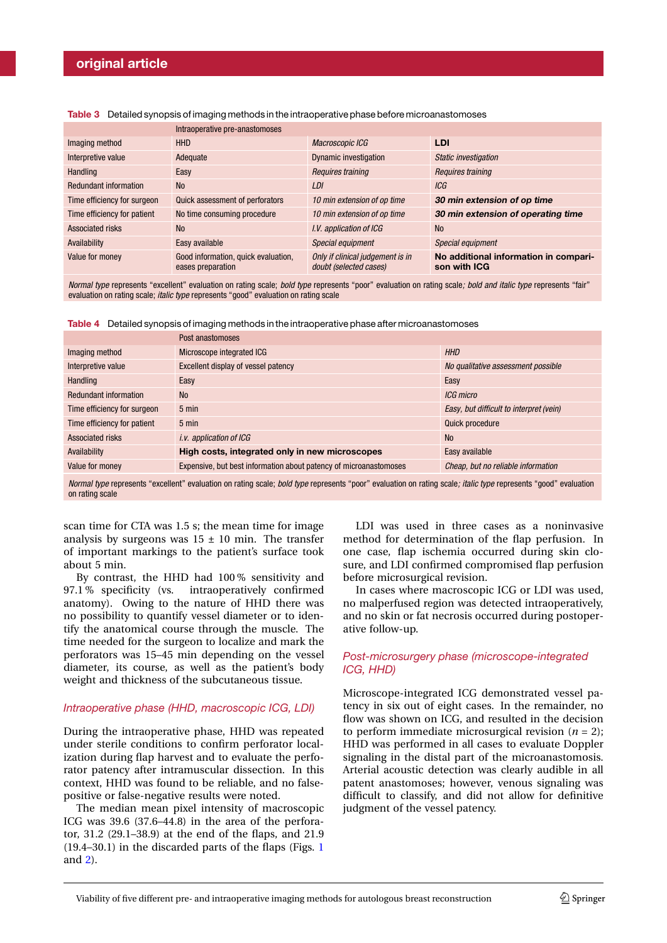|                              | Intraoperative pre-anastomoses                           |                                                            |                                                       |
|------------------------------|----------------------------------------------------------|------------------------------------------------------------|-------------------------------------------------------|
| Imaging method               | <b>HHD</b>                                               | Macroscopic ICG                                            | LDI                                                   |
| Interpretive value           | Adequate                                                 | <b>Dynamic investigation</b>                               | Static investigation                                  |
| Handling                     | Easy                                                     | Requires training                                          | Requires training                                     |
| <b>Redundant information</b> | <b>No</b>                                                | LDI                                                        | ICG                                                   |
| Time efficiency for surgeon  | Quick assessment of perforators                          | 10 min extension of op time                                | 30 min extension of op time                           |
| Time efficiency for patient  | No time consuming procedure                              | 10 min extension of op time                                | 30 min extension of operating time                    |
| Associated risks             | <b>No</b>                                                | I.V. application of ICG                                    | <b>No</b>                                             |
| Availability                 | Easy available                                           | Special equipment                                          | Special equipment                                     |
| Value for money              | Good information, quick evaluation,<br>eases preparation | Only if clinical judgement is in<br>doubt (selected cases) | No additional information in compari-<br>son with ICG |

Table 3 Detailed synopsis of imaging methods in the intraoperative phase before microanastomoses

*Normal type* represents "excellent" evaluation on rating scale; *bold type* represents "poor" evaluation on rating scale*; bold and italic type* represents "fair" evaluation on rating scale; *italic type* represents "good" evaluation on rating scale

Table 4 Detailed synopsis of imaging methods in the intraoperative phase after microanastomoses

|                              | Post anastomoses                                                  |                                         |
|------------------------------|-------------------------------------------------------------------|-----------------------------------------|
| Imaging method               | Microscope integrated ICG                                         | <b>HHD</b>                              |
| Interpretive value           | Excellent display of vessel patency                               | No qualitative assessment possible      |
| Handling                     | Easy                                                              | Easy                                    |
| <b>Redundant information</b> | <b>No</b>                                                         | ICG micro                               |
| Time efficiency for surgeon  | $5 \text{ min}$                                                   | Easy, but difficult to interpret (vein) |
| Time efficiency for patient  | $5 \text{ min}$                                                   | Quick procedure                         |
| Associated risks             | <i>i.v.</i> application of ICG                                    | <b>No</b>                               |
| Availability                 | High costs, integrated only in new microscopes                    | Easy available                          |
| Value for money              | Expensive, but best information about patency of microanastomoses | Cheap, but no reliable information      |

*Normal type* represents "excellent" evaluation on rating scale; *bold type* represents "poor" evaluation on rating scale*; italic type* represents "good" evaluation on rating scale

scan time for CTA was 1.5 s; the mean time for image analysis by surgeons was  $15 \pm 10$  min. The transfer of important markings to the patient's surface took about 5 min.

By contrast, the HHD had 100 % sensitivity and 97.1 % specificity (vs. intraoperatively confirmed anatomy). Owing to the nature of HHD there was no possibility to quantify vessel diameter or to identify the anatomical course through the muscle. The time needed for the surgeon to localize and mark the perforators was 15–45 min depending on the vessel diameter, its course, as well as the patient's body weight and thickness of the subcutaneous tissue.

#### *Intraoperative phase (HHD, macroscopic ICG, LDI)*

During the intraoperative phase, HHD was repeated under sterile conditions to confirm perforator localization during flap harvest and to evaluate the perforator patency after intramuscular dissection. In this context, HHD was found to be reliable, and no falsepositive or false-negative results were noted.

The median mean pixel intensity of macroscopic ICG was 39.6 (37.6–44.8) in the area of the perforator, 31.2 (29.1–38.9) at the end of the flaps, and 21.9  $(19.4–30.1)$  in the discarded parts of the flaps (Figs. 1) and 2).

LDI was used in three cases as a noninvasive method for determination of the flap perfusion. In one case, flap ischemia occurred during skin closure, and LDI confirmed compromised flap perfusion before microsurgical revision.

In cases where macroscopic ICG or LDI was used, no malperfused region was detected intraoperatively, and no skin or fat necrosis occurred during postoperative follow-up.

### *Post-microsurgery phase (microscope-integrated ICG, HHD)*

Microscope-integrated ICG demonstrated vessel patency in six out of eight cases. In the remainder, no flow was shown on ICG, and resulted in the decision to perform immediate microsurgical revision  $(n = 2)$ ; HHD was performed in all cases to evaluate Doppler signaling in the distal part of the microanastomosis. Arterial acoustic detection was clearly audible in all patent anastomoses; however, venous signaling was difficult to classify, and did not allow for definitive judgment of the vessel patency.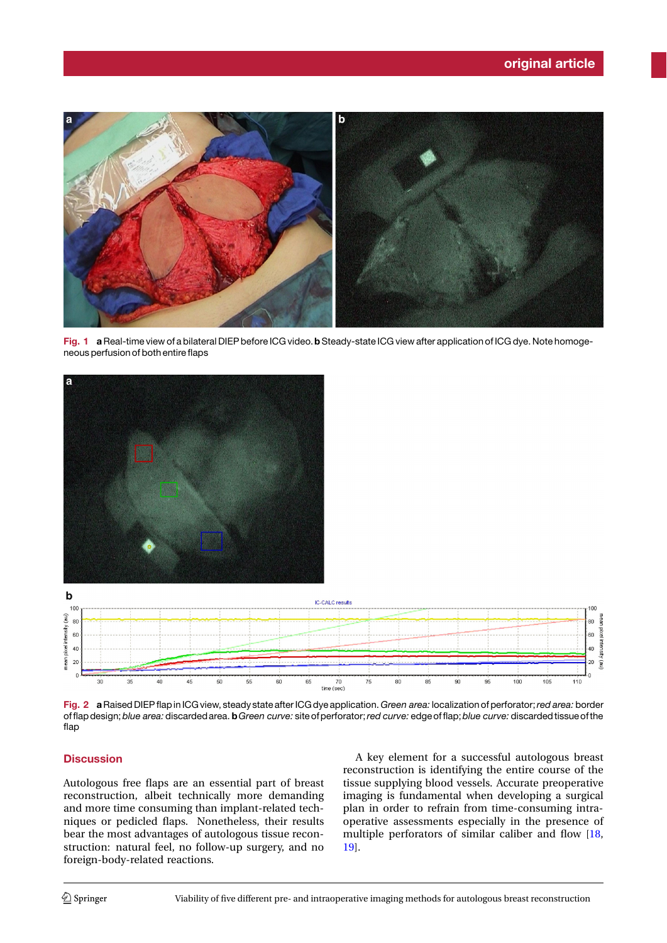

Fig. 1 a Real-time view of a bilateral DIEP before ICG video. b Steady-state ICG view after application of ICG dye. Note homogeneous perfusion of both entire faps



Fig. 2 aRaised DIEPfap in ICG view, steady state after ICG dye application. *Green area:* localization of perforator;*red area:* border offap design;*blue area:* discarded area. b*Green curve:* site of perforator;*red curve:* edge offap;*blue curve:* discarded tissue of the flap

## **Discussion**

Autologous free flaps are an essential part of breast reconstruction, albeit technically more demanding and more time consuming than implant-related techniques or pedicled flaps. Nonetheless, their results bear the most advantages of autologous tissue reconstruction: natural feel, no follow-up surgery, and no foreign-body-related reactions.

A key element for a successful autologous breast reconstruction is identifying the entire course of the tissue supplying blood vessels. Accurate preoperative imaging is fundamental when developing a surgical plan in order to refrain from time-consuming intraoperative assessments especially in the presence of multiple perforators of similar caliber and flow [18, 19].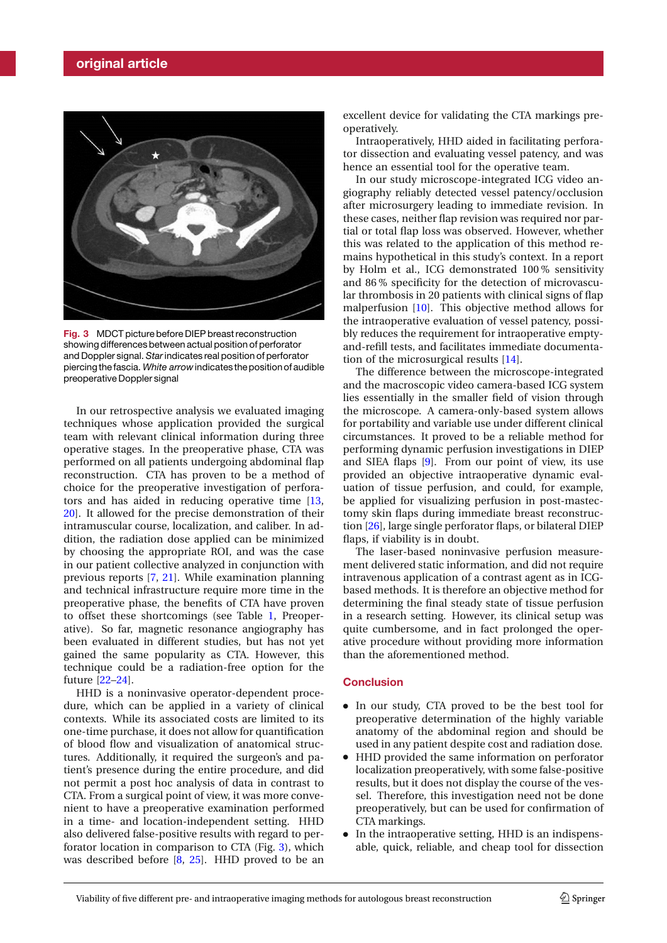

Fig. 3 MDCT picture before DIEP breast reconstruction showing differences between actual position of perforator and Doppler signal. *Star*indicates real position of perforator piercing thefascia. *White arrow*indicates the position of audible preoperative Doppler signal

In our retrospective analysis we evaluated imaging techniques whose application provided the surgical team with relevant clinical information during three operative stages. In the preoperative phase, CTA was performed on all patients undergoing abdominal flap reconstruction. CTA has proven to be a method of choice for the preoperative investigation of perforators and has aided in reducing operative time [13, 20]. It allowed for the precise demonstration of their intramuscular course, localization, and caliber. In addition, the radiation dose applied can be minimized by choosing the appropriate ROI, and was the case in our patient collective analyzed in conjunction with previous reports [7, 21]. While examination planning and technical infrastructure require more time in the preoperative phase, the benefits of CTA have proven to offset these shortcomings (see Table 1, Preoperative). So far, magnetic resonance angiography has been evaluated in different studies, but has not yet gained the same popularity as CTA. However, this technique could be a radiation-free option for the future [22–24].

HHD is a noninvasive operator-dependent procedure, which can be applied in a variety of clinical contexts. While its associated costs are limited to its one-time purchase, it does not allow for quantification of blood flow and visualization of anatomical structures. Additionally, it required the surgeon's and patient's presence during the entire procedure, and did not permit a post hoc analysis of data in contrast to CTA. From a surgical point of view, it was more convenient to have a preoperative examination performed in a time- and location-independent setting. HHD also delivered false-positive results with regard to perforator location in comparison to CTA (Fig. 3), which was described before [8, 25]. HHD proved to be an

excellent device for validating the CTA markings preoperatively.

Intraoperatively, HHD aided in facilitating perforator dissection and evaluating vessel patency, and was hence an essential tool for the operative team.

In our study microscope-integrated ICG video angiography reliably detected vessel patency/occlusion after microsurgery leading to immediate revision. In these cases, neither flap revision was required nor partial or total flap loss was observed. However, whether this was related to the application of this method remains hypothetical in this study's context. In a report by Holm et al., ICG demonstrated 100 % sensitivity and 86 % specificity for the detection of microvascular thrombosis in 20 patients with clinical signs of flap malperfusion [10]. This objective method allows for the intraoperative evaluation of vessel patency, possibly reduces the requirement for intraoperative emptyand-refill tests, and facilitates immediate documentation of the microsurgical results [14].

The difference between the microscope-integrated and the macroscopic video camera-based ICG system lies essentially in the smaller field of vision through the microscope. A camera-only-based system allows for portability and variable use under different clinical circumstances. It proved to be a reliable method for performing dynamic perfusion investigations in DIEP and SIEA flaps [9]. From our point of view, its use provided an objective intraoperative dynamic evaluation of tissue perfusion, and could, for example, be applied for visualizing perfusion in post-mastectomy skin flaps during immediate breast reconstruction [26], large single perforator flaps, or bilateral DIEP flaps, if viability is in doubt.

The laser-based noninvasive perfusion measurement delivered static information, and did not require intravenous application of a contrast agent as in ICGbased methods. It is therefore an objective method for determining the final steady state of tissue perfusion in a research setting. However, its clinical setup was quite cumbersome, and in fact prolonged the operative procedure without providing more information than the aforementioned method.

#### **Conclusion**

- In our study, CTA proved to be the best tool for preoperative determination of the highly variable anatomy of the abdominal region and should be used in any patient despite cost and radiation dose.
- HHD provided the same information on perforator localization preoperatively, with some false-positive results, but it does not display the course of the vessel. Therefore, this investigation need not be done preoperatively, but can be used for confirmation of CTA markings.
- In the intraoperative setting, HHD is an indispensable, quick, reliable, and cheap tool for dissection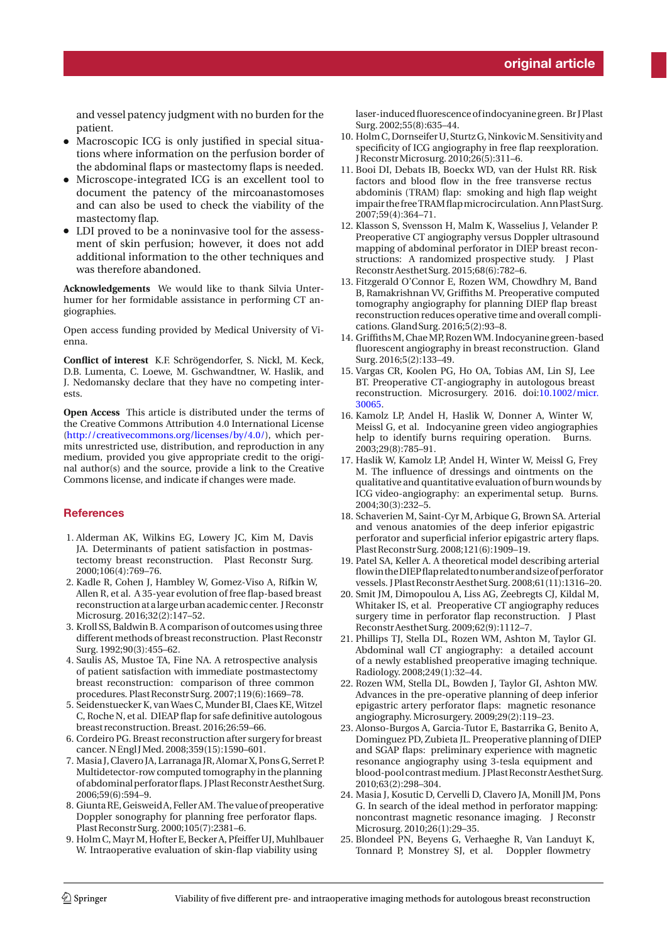and vessel patency judgment with no burden for the patient.

- Macroscopic ICG is only justified in special situations where information on the perfusion border of the abdominal flaps or mastectomy flaps is needed.
- Microscope-integrated ICG is an excellent tool to document the patency of the mircoanastomoses and can also be used to check the viability of the mastectomy flap.
- LDI proved to be a noninvasive tool for the assessment of skin perfusion; however, it does not add additional information to the other techniques and was therefore abandoned.

**Acknowledgements** We would like to thank Silvia Unterhumer for her formidable assistance in performing CT angiographies.

Open access funding provided by Medical University of Vienna.

**Conflict of interest** K.F. Schrögendorfer, S. Nickl, M. Keck, D.B. Lumenta, C. Loewe, M. Gschwandtner, W. Haslik, and J. Nedomansky declare that they have no competing interests.

**Open Access** This article is distributed under the terms of the Creative Commons Attribution 4.0 International License (http://creativecommons.org/licenses/by/4.0/), which permits unrestricted use, distribution, and reproduction in any medium, provided you give appropriate credit to the original author(s) and the source, provide a link to the Creative Commons license, and indicate if changes were made.

#### **References**

- 1. Alderman AK, Wilkins EG, Lowery JC, Kim M, Davis JA. Determinants of patient satisfaction in postmastectomy breast reconstruction. Plast Reconstr Surg. 2000;106(4):769–76.
- 2. Kadle R, Cohen J, Hambley W, Gomez-Viso A, Rifkin W, Allen R, et al. A 35-year evolution of free flap-based breast reconstruction at alargeurban academic center. J Reconstr Microsurg. 2016;32(2):147–52.
- 3. Kroll SS, Baldwin B. A comparison of outcomes using three different methods of breast reconstruction. Plast Reconstr Surg. 1992;90(3):455–62.
- 4. Saulis AS, Mustoe TA, Fine NA. A retrospective analysis of patient satisfaction with immediate postmastectomy breast reconstruction: comparison of three common procedures. PlastReconstr Surg. 2007;119(6):1669–78.
- 5. Seidenstuecker K, van Waes C, Munder BI, Claes KE, Witzel C, Roche N, et al. DIEAP flap for safe definitive autologous breast reconstruction. Breast. 2016;26:59–66.
- 6. Cordeiro PG. Breast reconstruction after surgery for breast cancer. NEngl JMed. 2008;359(15):1590–601.
- 7. Masia J,Clavero JA, Larranaga JR, Alomar X, Pons G, Serret P. Multidetector-row computed tomography in the planning of abdominal perforator flaps. JPlast Reconstr Aesthet Surg. 2006;59(6):594–9.
- 8. GiuntaRE, GeisweidA, Feller AM. The value of preoperative Doppler sonography for planning free perforator flaps. PlastReconstr Surg. 2000;105(7):2381–6.
- 9. Holm C, Mayr M, Hofter E, Becker A, Pfeiffer UJ, Muhlbauer W. Intraoperative evaluation of skin-flap viability using

laser-inducedfluorescence ofindocyanine green. Br J Plast Surg. 2002;55(8):635–44.

- 10. HolmC, Dornseifer U, Sturtz G, NinkovicM. Sensitivity and specificity of ICG angiography in free flap reexploration. JReconstrMicrosurg. 2010;26(5):311–6.
- 11. Booi DI, Debats IB, Boeckx WD, van der Hulst RR. Risk factors and blood flow in the free transverse rectus abdominis (TRAM) flap: smoking and high flap weight impair the freeTRAMflapmicrocirculation. AnnPlastSurg. 2007;59(4):364–71.
- 12. Klasson S, Svensson H, Malm K, Wasselius J, Velander P. Preoperative CT angiography versus Doppler ultrasound mapping of abdominal perforator in DIEP breast reconstructions: A randomized prospective study. J Plast ReconstrAesthetSurg. 2015;68(6):782–6.
- 13. Fitzgerald O'Connor E, Rozen WM, Chowdhry M, Band B, Ramakrishnan VV, Griffiths M. Preoperative computed tomography angiography for planning DIEP flap breast reconstruction reduces operative time and overall complications. GlandSurg. 2016;5(2):93–8.
- 14. GriffithsM,ChaeMP, RozenWM. Indocyanine green-based fluorescent angiography in breast reconstruction. Gland Surg. 2016;5(2):133–49.
- 15. Vargas CR, Koolen PG, Ho OA, Tobias AM, Lin SJ, Lee BT. Preoperative CT-angiography in autologous breast reconstruction. Microsurgery. 2016. doi:10.1002/micr. 30065.
- 16. Kamolz LP, Andel H, Haslik W, Donner A, Winter W, Meissl G, et al. Indocyanine green video angiographies help to identify burns requiring operation. Burns. 2003;29(8):785–91.
- 17. Haslik W, Kamolz LP, Andel H, Winter W, Meissl G, Frey M. The influence of dressings and ointments on the qualitative and quantitative evaluation of burn wounds by ICG video-angiography: an experimental setup. Burns. 2004;30(3):232–5.
- 18. Schaverien M, Saint-Cyr M, Arbique G, Brown SA. Arterial and venous anatomies of the deep inferior epigastric perforator and superficial inferior epigastric artery flaps. PlastReconstr Surg. 2008;121(6):1909–19.
- 19. Patel SA, Keller A. A theoretical model describing arterial flowin theDIEPflaprelatedtonumberandsizeofperforator vessels. JPlast Reconstr Aesthet Surg. 2008;61(11):1316-20.
- 20. Smit JM, Dimopoulou A, Liss AG, Zeebregts CJ, Kildal M, Whitaker IS, et al. Preoperative CT angiography reduces surgery time in perforator flap reconstruction. J Plast ReconstrAesthetSurg. 2009;62(9):1112–7.
- 21. Phillips TJ, Stella DL, Rozen WM, Ashton M, Taylor GI. Abdominal wall CT angiography: a detailed account of a newly established preoperative imaging technique. Radiology. 2008;249(1):32–44.
- 22. Rozen WM, Stella DL, Bowden J, Taylor GI, Ashton MW. Advances in the pre-operative planning of deep inferior epigastric artery perforator flaps: magnetic resonance angiography. Microsurgery. 2009;29(2):119–23.
- 23. Alonso-Burgos A, Garcia-Tutor E, Bastarrika G, Benito A, Dominguez PD, Zubieta JL. Preoperative planning of DIEP and SGAP flaps: preliminary experience with magnetic resonance angiography using 3-tesla equipment and blood-pool contrast medium. J Plast Reconstr Aesthet Surg. 2010;63(2):298–304.
- 24. Masia J, Kosutic D, Cervelli D, Clavero JA, Monill JM, Pons G. In search of the ideal method in perforator mapping: noncontrast magnetic resonance imaging. J Reconstr Microsurg. 2010;26(1):29–35.
- 25. Blondeel PN, Beyens G, Verhaeghe R, Van Landuyt K, Tonnard P, Monstrey SJ, et al. Doppler flowmetry